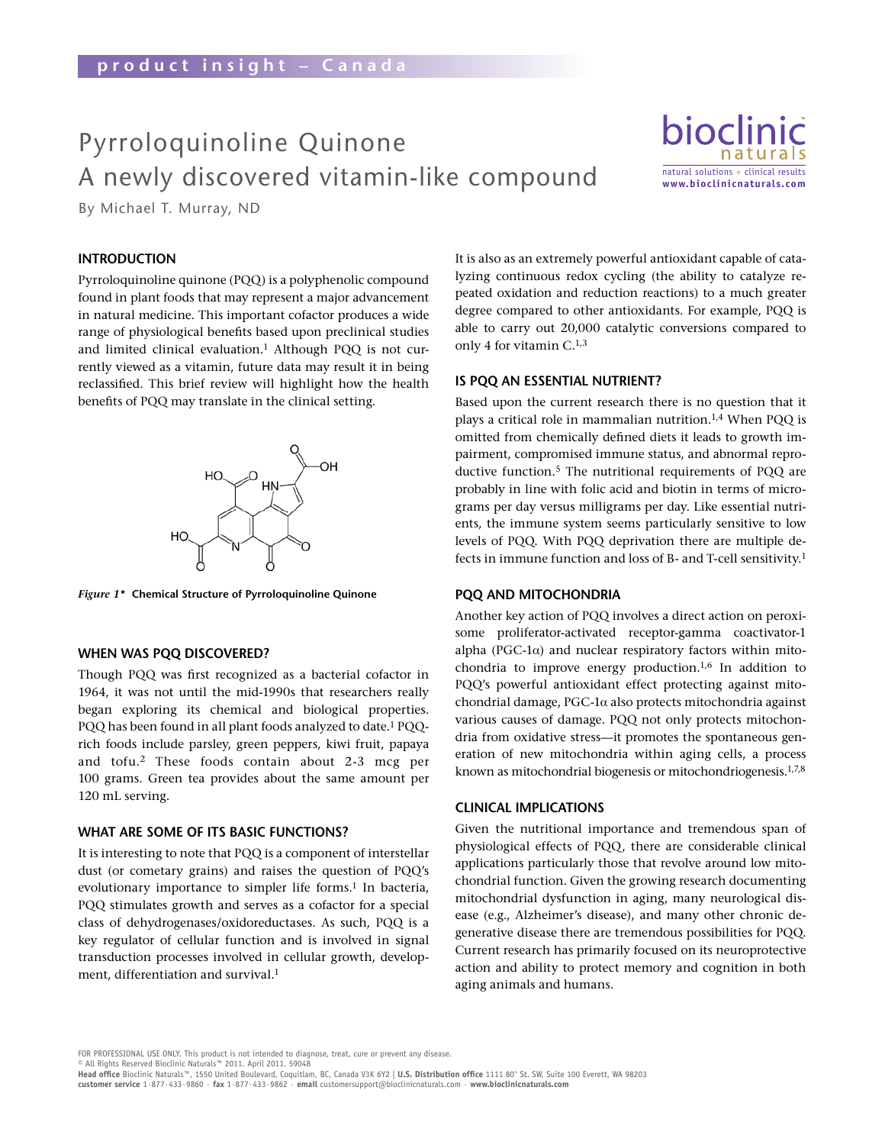# Pyrroloquinoline Quinone A newly discovered vitamin-like compound

Pyrroloquinoline Quinone – A newly discovered vitamin-like compound

bioclin natural solutions + clinical results **www.bioclinicnaturals.com**

By Michael T. Murray, ND

## **IntroductIon**

Pyrroloquinoline quinone (PQQ) is a polyphenolic compound found in plant foods that may represent a major advancement in natural medicine. This important cofactor produces a wide range of physiological benefits based upon preclinical studies and limited clinical evaluation.<sup>1</sup> Although PQQ is not currently viewed as a vitamin, future data may result it in being reclassified. This brief review will highlight how the health benefits of PQQ may translate in the clinical setting.



*Figure 1\** **chemical structure of Pyrroloquinoline Quinone**

#### **When Was PQQ dIscovered?**

Though PQQ was first recognized as a bacterial cofactor in 1964, it was not until the mid-1990s that researchers really began exploring its chemical and biological properties. PQQ has been found in all plant foods analyzed to date.<sup>1</sup> PQQrich foods include parsley, green peppers, kiwi fruit, papaya and tofu.2 These foods contain about 2-3 mcg per 100 grams. Green tea provides about the same amount per 120 mL serving.

#### **What are some of Its basIc functIons?**

It is interesting to note that PQQ is a component of interstellar dust (or cometary grains) and raises the question of PQQ's evolutionary importance to simpler life forms.<sup>1</sup> In bacteria, PQQ stimulates growth and serves as a cofactor for a special class of dehydrogenases/oxidoreductases. As such, PQQ is a key regulator of cellular function and is involved in signal transduction processes involved in cellular growth, development, differentiation and survival.<sup>1</sup>

It is also as an extremely powerful antioxidant capable of catalyzing continuous redox cycling (the ability to catalyze repeated oxidation and reduction reactions) to a much greater degree compared to other antioxidants. For example, PQQ is able to carry out 20,000 catalytic conversions compared to only 4 for vitamin C.1,3

#### **IS PQQ AN ESSENTIAL NUTRIENT?**

Based upon the current research there is no question that it plays a critical role in mammalian nutrition.1,4 When PQQ is omitted from chemically defined diets it leads to growth impairment, compromised immune status, and abnormal reproductive function.5 The nutritional requirements of PQQ are probably in line with folic acid and biotin in terms of micrograms per day versus milligrams per day. Like essential nutrients, the immune system seems particularly sensitive to low levels of PQQ. With PQQ deprivation there are multiple defects in immune function and loss of B- and T-cell sensitivity.<sup>1</sup>

#### **PQQ and mItochondrIa**

Another key action of PQQ involves a direct action on peroxisome proliferator-activated receptor-gamma coactivator-1 alpha (PGC-1α) and nuclear respiratory factors within mitochondria to improve energy production.1,6 In addition to PQQ's powerful antioxidant effect protecting against mitochondrial damage, PGC-1α also protects mitochondria against various causes of damage. PQQ not only protects mitochondria from oxidative stress—it promotes the spontaneous generation of new mitochondria within aging cells, a process known as mitochondrial biogenesis or mitochondriogenesis.1,7,8

#### **clInIcal ImPlIcatIons**

Given the nutritional importance and tremendous span of physiological effects of PQQ, there are considerable clinical applications particularly those that revolve around low mitochondrial function. Given the growing research documenting mitochondrial dysfunction in aging, many neurological disease (e.g., Alzheimer's disease), and many other chronic degenerative disease there are tremendous possibilities for PQQ. Current research has primarily focused on its neuroprotective action and ability to protect memory and cognition in both aging animals and humans.

FOR PROFESSIONAL USE ONLY. This product is not intended to diagnose, treat, cure or prevent any disease.

<sup>©</sup> All Rights Reserved Bioclinic Naturals™ 2011. April 2011. 59048<br>**Head office** Bioclinic Naturals™, 1550 United Boulevard, Coquitlam, BC, Canada V3K 6Y2 | **U.S. Distribution office** 1111 80® St. SW, Suite 100 Everett, WA **customer service** 1·877·433·9860 · **fax** 1·877·433·9862 · **email** customersupport@bioclinicnaturals.com · **www.bioclinicnaturals.com**